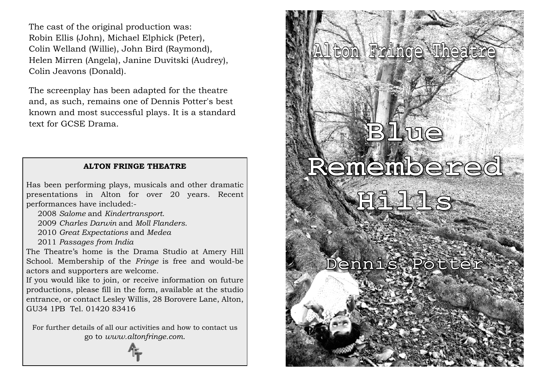The cast of the original production was: Robin Ellis (John), Michael Elphick (Peter), Colin Welland (Willie), John Bird (Raymond), Helen Mirren (Angela), Janine Duvitski (Audrey), Colin Jeavons (Donald).

The screenplay has been adapted for the theatre and, as such, remains one of Dennis Potter's best known and most successful plays. It is a standard text for GCSE Drama.

# **ALTON FRINGE THEATRE**

Has been performing plays, musicals and other dramatic presentations in Alton for over 20 years. Recent performances have included:-

2008 *Salome* and *Kindertransport*.

2009 *Charles Darwin* and *Moll Flanders*.

2010 *Great Expectations* and *Medea*

2011 *Passages from India*

The Theatre's home is the Drama Studio at Amery Hill School. Membership of the *Fringe* is free and would-be actors and supporters are welcome.

If you would like to join, or receive information on future productions, please fill in the form, available at the studio entrance, or contact Lesley Willis, 28 Borovere Lane, Alton, GU34 1PB Tel. 01420 83416

For further details of all our activities and how to contact us go to *www.altonfringe.com*.

# **Alton Fringe Theatre BLue Remembered Hills**

**Dennis Potter**